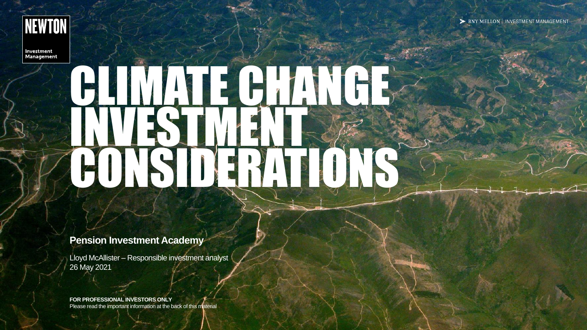

Investment **Management** 

# BLINNA E CHANGE IN THE CONSIDERATIONS

#### **Pension Investment Academy**

Lloyd McAllister – Responsible investment analyst 26 May 2021

**FOR PROFESSIONAL INVESTORS ONLY** Please read the important information at the back of this material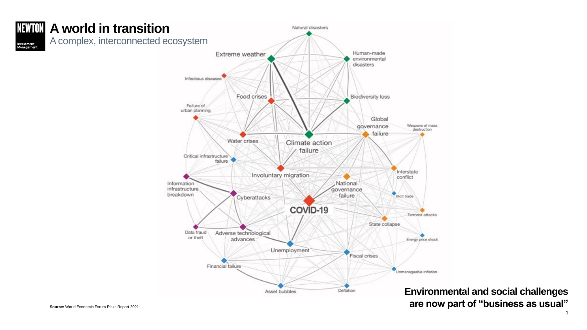

**Environmental and social challenges are now part of "business as usual"**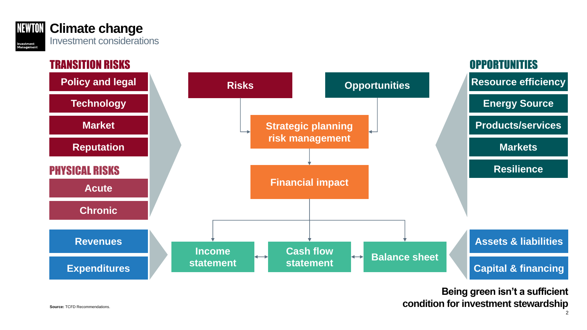



**Being green isn't a sufficient condition for investment stewardship**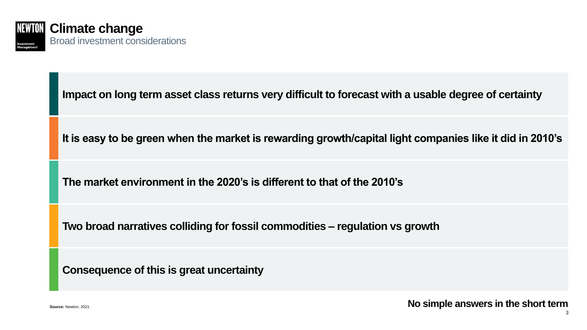

` **Impact on long term asset class returns very difficult to forecast with a usable degree of certainty**

**It is easy to be green when the market is rewarding growth/capital light companies like it did in 2010's**

**The market environment in the 2020's is different to that of the 2010's**

**Two broad narratives colliding for fossil commodities – regulation vs growth**

**Consequence of this is great uncertainty**

3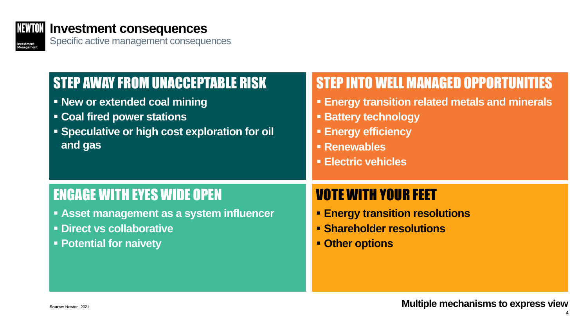

#### **Investment consequences**

Specific active management consequences

## STEP AWAY FROM UNACCEPTABLE RISK

- **New or extended coal mining**
- **Coal fired power stations**
- **Speculative or high cost exploration for oil and gas**

### STEP INTO WELL MANAGED OPPORTUNITIES

- **Energy transition related metals and minerals**
- **Battery technology**
- **Energy efficiency**
- **Renewables**
- **Electric vehicles**

### ENGAGE WITH EYES WIDE OPEN

- **Example 1 Asset management as a system influencer**
- **Direct vs collaborative**
- **Potential for naivety**

## VOTE WITH YOUR FEET

- **Energy transition resolutions**
- **Shareholder resolutions**
- **Other options**

4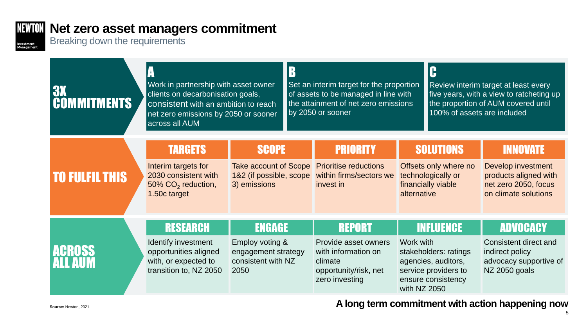#### **NEWION** Net zero asset managers commitment

Breaking down the requirements

Investment<br>Management

| <b>3X</b><br><b>MMITMENTS</b> | Work in partnership with asset owner<br>clients on decarbonisation goals,<br>consistent with an ambition to reach<br>net zero emissions by 2050 or sooner<br>across all AUM |                                                                                         | $\mathbf{D}$<br>Set an interim target for the proportion<br>of assets to be managed in line with<br>the attainment of net zero emissions<br>by 2050 or sooner |                                                                                                                    |                                                                                                      | C<br>Review interim target at least every<br>five years, with a view to ratcheting up<br>the proportion of AUM covered until<br>100% of assets are included |                                                                                                                |
|-------------------------------|-----------------------------------------------------------------------------------------------------------------------------------------------------------------------------|-----------------------------------------------------------------------------------------|---------------------------------------------------------------------------------------------------------------------------------------------------------------|--------------------------------------------------------------------------------------------------------------------|------------------------------------------------------------------------------------------------------|-------------------------------------------------------------------------------------------------------------------------------------------------------------|----------------------------------------------------------------------------------------------------------------|
| <b>TO FULFIL THIS</b>         | <b>TARGETS</b><br>Interim targets for<br>2030 consistent with<br>50% CO <sub>2</sub> reduction,<br>1.50c target                                                             | <b>SCOPE</b><br><b>Take account of Scope</b><br>1&2 (if possible, scope<br>3) emissions |                                                                                                                                                               | <b>PRIORITY</b><br><b>Prioritise reductions</b><br>within firms/sectors we<br>invest in                            | <b>SOLUTIONS</b><br>Offsets only where no<br>technologically or<br>financially viable<br>alternative |                                                                                                                                                             | <b>INNOVATE</b><br>Develop investment<br>products aligned with<br>net zero 2050, focus<br>on climate solutions |
| LIGROSS                       | <b>RESEARCH</b><br>Identify investment<br>opportunities aligned<br>with, or expected to<br>transition to, NZ 2050                                                           | <b>ENGAGE</b><br>Employ voting &<br>engagement strategy<br>consistent with NZ<br>2050   |                                                                                                                                                               | <b>REPORT</b><br>Provide asset owners<br>with information on<br>climate<br>opportunity/risk, net<br>zero investing | Work with<br>with NZ 2050                                                                            | <b>INFLUENCE</b><br>stakeholders: ratings<br>agencies, auditors,<br>service providers to<br>ensure consistency                                              | <b>ADVOCACY</b><br><b>Consistent direct and</b><br>indirect policy<br>advocacy supportive of<br>NZ 2050 goals  |

**A** long term commitment with action happening now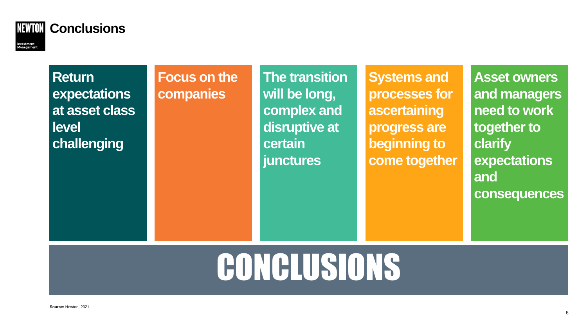

#### **Return expectations at asset class level challenging**

**Focus on the companies**

**The transition will be long, complex and disruptive at certain junctures**

**Systems and processes for ascertaining progress are beginning to come together**

**Asset owners and managers need to work together to clarify expectations and consequences**

## CONCLUSIONS